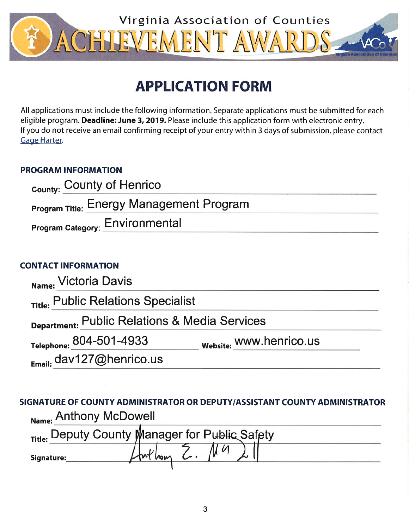

# **APPLICATION FORM**

All applications must include the following information. Separate applications must be submitted for each eligible program. Deadline: June 3, 2019. Please include this application form with electronic entry. If you do not receive an email confirming receipt of your entry within 3 days of submission, please contact Gage Harter.

# **PROGRAM INFORMATION**

| <sub>County:</sub> County of Henrico            |  |
|-------------------------------------------------|--|
| <b>Program Title: Energy Management Program</b> |  |
| <b>Program Category: Environmental</b>          |  |

# **CONTACT INFORMATION**

| Name: Victoria Davis                          |                         |  |
|-----------------------------------------------|-------------------------|--|
| Title: Public Relations Specialist            |                         |  |
| Department: Public Relations & Media Services |                         |  |
| Telephone: 804-501-4933                       | Website: WWW.henrico.us |  |
| Email: dav127@henrico.us                      |                         |  |

SIGNATURE OF COUNTY ADMINISTRATOR OR DEPUTY/ASSISTANT COUNTY ADMINISTRATOR Name: Anthony McDowell

|            | Title: Deputy County Manager for Public Safety |
|------------|------------------------------------------------|
| Signature: |                                                |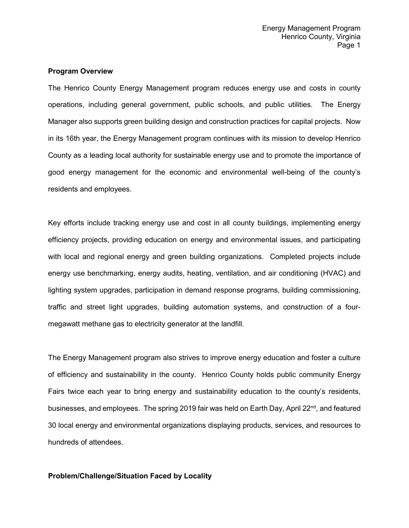#### **Program Overview**

The Henrico County Energy Management program reduces energy use and costs in county operations, including general government, public schools, and public utilities. The Energy Manager also supports green building design and construction practices for capital projects. Now in its 16th year, the Energy Management program continues with its mission to develop Henrico County as a leading local authority for sustainable energy use and to promote the importance of good energy management for the economic and environmental well-being of the county's residents and employees.

Key efforts include tracking energy use and cost in all county buildings, implementing energy efficiency projects, providing education on energy and environmental issues, and participating with local and regional energy and green building organizations. Completed projects include energy use benchmarking, energy audits, heating, ventilation, and air conditioning (HVAC) and lighting system upgrades, participation in demand response programs, building commissioning, traffic and street light upgrades, building automation systems, and construction of a fourmegawatt methane gas to electricity generator at the landfill.

The Energy Management program also strives to improve energy education and foster a culture of efficiency and sustainability in the county. Henrico County holds public community Energy Fairs twice each year to bring energy and sustainability education to the county's residents, businesses, and employees. The spring 2019 fair was held on Earth Day, April  $22^{nd}$ , and featured 30 local energy and environmental organizations displaying products, services, and resources to hundreds of attendees.

## **Problem/Challenge/Situation Faced by Locality**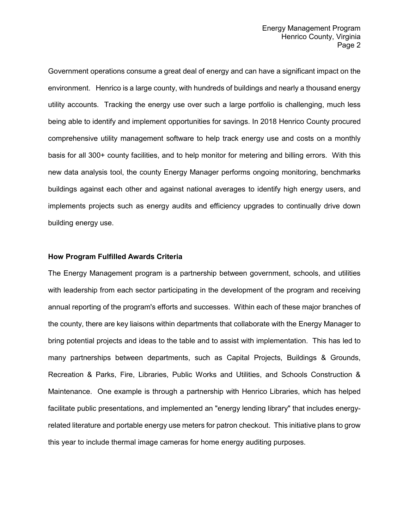Government operations consume a great deal of energy and can have a significant impact on the environment. Henrico is a large county, with hundreds of buildings and nearly a thousand energy utility accounts. Tracking the energy use over such a large portfolio is challenging, much less being able to identify and implement opportunities for savings. In 2018 Henrico County procured comprehensive utility management software to help track energy use and costs on a monthly basis for all 300+ county facilities, and to help monitor for metering and billing errors. With this new data analysis tool, the county Energy Manager performs ongoing monitoring, benchmarks buildings against each other and against national averages to identify high energy users, and implements projects such as energy audits and efficiency upgrades to continually drive down building energy use.

#### **How Program Fulfilled Awards Criteria**

The Energy Management program is a partnership between government, schools, and utilities with leadership from each sector participating in the development of the program and receiving annual reporting of the program's efforts and successes. Within each of these major branches of the county, there are key liaisons within departments that collaborate with the Energy Manager to bring potential projects and ideas to the table and to assist with implementation. This has led to many partnerships between departments, such as Capital Projects, Buildings & Grounds, Recreation & Parks, Fire, Libraries, Public Works and Utilities, and Schools Construction & Maintenance. One example is through a partnership with Henrico Libraries, which has helped facilitate public presentations, and implemented an "energy lending library" that includes energyrelated literature and portable energy use meters for patron checkout. This initiative plans to grow this year to include thermal image cameras for home energy auditing purposes.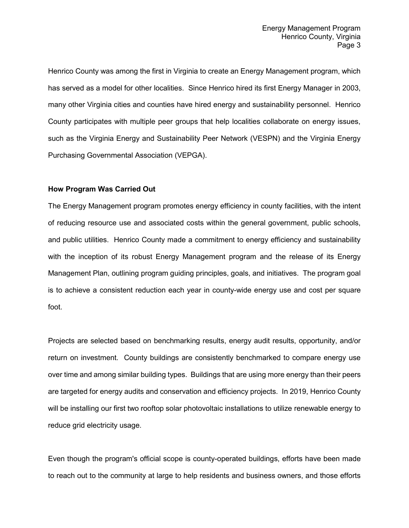Henrico County was among the first in Virginia to create an Energy Management program, which has served as a model for other localities. Since Henrico hired its first Energy Manager in 2003, many other Virginia cities and counties have hired energy and sustainability personnel. Henrico County participates with multiple peer groups that help localities collaborate on energy issues, such as the Virginia Energy and Sustainability Peer Network (VESPN) and the Virginia Energy Purchasing Governmental Association (VEPGA).

# **How Program Was Carried Out**

The Energy Management program promotes energy efficiency in county facilities, with the intent of reducing resource use and associated costs within the general government, public schools, and public utilities. Henrico County made a commitment to energy efficiency and sustainability with the inception of its robust Energy Management program and the release of its Energy Management Plan, outlining program guiding principles, goals, and initiatives. The program goal is to achieve a consistent reduction each year in county-wide energy use and cost per square foot.

Projects are selected based on benchmarking results, energy audit results, opportunity, and/or return on investment. County buildings are consistently benchmarked to compare energy use over time and among similar building types. Buildings that are using more energy than their peers are targeted for energy audits and conservation and efficiency projects. In 2019, Henrico County will be installing our first two rooftop solar photovoltaic installations to utilize renewable energy to reduce grid electricity usage.

Even though the program's official scope is county-operated buildings, efforts have been made to reach out to the community at large to help residents and business owners, and those efforts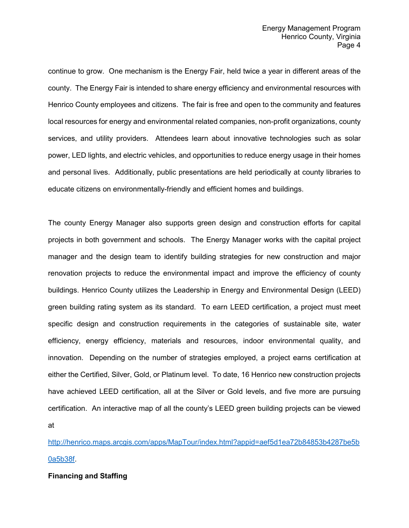continue to grow. One mechanism is the Energy Fair, held twice a year in different areas of the county. The Energy Fair is intended to share energy efficiency and environmental resources with Henrico County employees and citizens. The fair is free and open to the community and features local resources for energy and environmental related companies, non-profit organizations, county services, and utility providers. Attendees learn about innovative technologies such as solar power, LED lights, and electric vehicles, and opportunities to reduce energy usage in their homes and personal lives. Additionally, public presentations are held periodically at county libraries to educate citizens on environmentally-friendly and efficient homes and buildings.

The county Energy Manager also supports green design and construction efforts for capital projects in both government and schools. The Energy Manager works with the capital project manager and the design team to identify building strategies for new construction and major renovation projects to reduce the environmental impact and improve the efficiency of county buildings. Henrico County utilizes the Leadership in Energy and Environmental Design (LEED) green building rating system as its standard. To earn LEED certification, a project must meet specific design and construction requirements in the categories of sustainable site, water efficiency, energy efficiency, materials and resources, indoor environmental quality, and innovation. Depending on the number of strategies employed, a project earns certification at either the Certified, Silver, Gold, or Platinum level. To date, 16 Henrico new construction projects have achieved LEED certification, all at the Silver or Gold levels, and five more are pursuing certification. An interactive map of all the county's LEED green building projects can be viewed at

[http://henrico.maps.arcgis.com/apps/MapTour/index.html?appid=aef5d1ea72b84853b4287be5b](http://henrico.maps.arcgis.com/apps/MapTour/index.html?appid=aef5d1ea72b84853b4287be5b0a5b38f) [0a5b38f.](http://henrico.maps.arcgis.com/apps/MapTour/index.html?appid=aef5d1ea72b84853b4287be5b0a5b38f)

## **Financing and Staffing**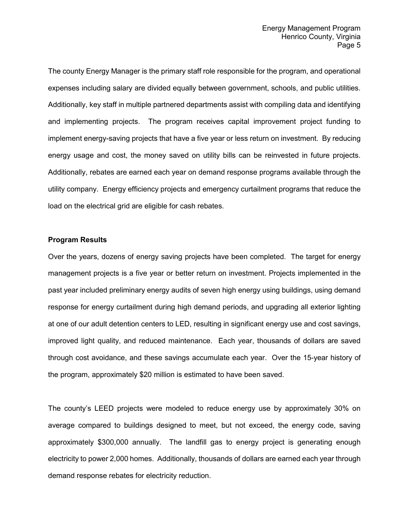The county Energy Manager is the primary staff role responsible for the program, and operational expenses including salary are divided equally between government, schools, and public utilities. Additionally, key staff in multiple partnered departments assist with compiling data and identifying and implementing projects. The program receives capital improvement project funding to implement energy-saving projects that have a five year or less return on investment. By reducing energy usage and cost, the money saved on utility bills can be reinvested in future projects. Additionally, rebates are earned each year on demand response programs available through the utility company. Energy efficiency projects and emergency curtailment programs that reduce the load on the electrical grid are eligible for cash rebates.

#### **Program Results**

Over the years, dozens of energy saving projects have been completed. The target for energy management projects is a five year or better return on investment. Projects implemented in the past year included preliminary energy audits of seven high energy using buildings, using demand response for energy curtailment during high demand periods, and upgrading all exterior lighting at one of our adult detention centers to LED, resulting in significant energy use and cost savings, improved light quality, and reduced maintenance. Each year, thousands of dollars are saved through cost avoidance, and these savings accumulate each year. Over the 15-year history of the program, approximately \$20 million is estimated to have been saved.

The county's LEED projects were modeled to reduce energy use by approximately 30% on average compared to buildings designed to meet, but not exceed, the energy code, saving approximately \$300,000 annually. The landfill gas to energy project is generating enough electricity to power 2,000 homes. Additionally, thousands of dollars are earned each year through demand response rebates for electricity reduction.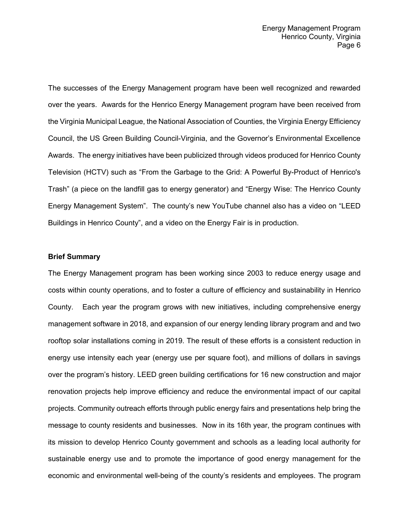The successes of the Energy Management program have been well recognized and rewarded over the years. Awards for the Henrico Energy Management program have been received from the Virginia Municipal League, the National Association of Counties, the Virginia Energy Efficiency Council, the US Green Building Council-Virginia, and the Governor's Environmental Excellence Awards. The energy initiatives have been publicized through videos produced for Henrico County Television (HCTV) such as "From the Garbage to the Grid: A Powerful By-Product of Henrico's Trash" (a piece on the landfill gas to energy generator) and "Energy Wise: The Henrico County Energy Management System". The county's new YouTube channel also has a video on "LEED Buildings in Henrico County", and a video on the Energy Fair is in production.

## **Brief Summary**

The Energy Management program has been working since 2003 to reduce energy usage and costs within county operations, and to foster a culture of efficiency and sustainability in Henrico County. Each year the program grows with new initiatives, including comprehensive energy management software in 2018, and expansion of our energy lending library program and and two rooftop solar installations coming in 2019. The result of these efforts is a consistent reduction in energy use intensity each year (energy use per square foot), and millions of dollars in savings over the program's history. LEED green building certifications for 16 new construction and major renovation projects help improve efficiency and reduce the environmental impact of our capital projects. Community outreach efforts through public energy fairs and presentations help bring the message to county residents and businesses. Now in its 16th year, the program continues with its mission to develop Henrico County government and schools as a leading local authority for sustainable energy use and to promote the importance of good energy management for the economic and environmental well-being of the county's residents and employees. The program